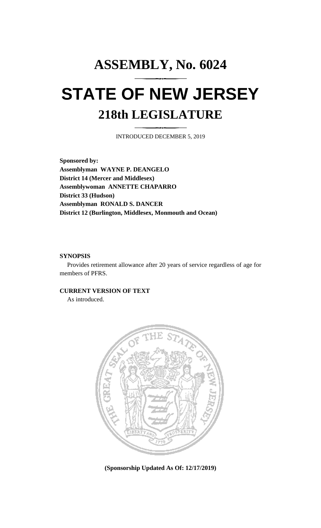## **ASSEMBLY, No. 6024 STATE OF NEW JERSEY 218th LEGISLATURE**

INTRODUCED DECEMBER 5, 2019

**Sponsored by: Assemblyman WAYNE P. DEANGELO District 14 (Mercer and Middlesex) Assemblywoman ANNETTE CHAPARRO District 33 (Hudson) Assemblyman RONALD S. DANCER District 12 (Burlington, Middlesex, Monmouth and Ocean)**

## **SYNOPSIS**

Provides retirement allowance after 20 years of service regardless of age for members of PFRS.

## **CURRENT VERSION OF TEXT**

As introduced.



**(Sponsorship Updated As Of: 12/17/2019)**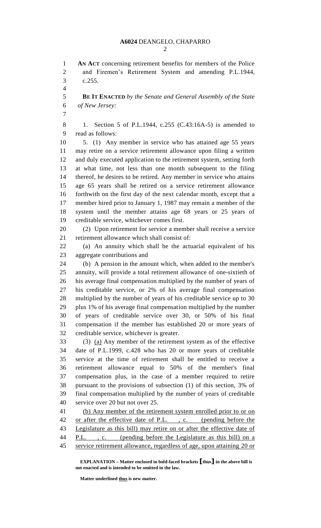**AN ACT** concerning retirement benefits for members of the Police and Firemen's Retirement System and amending P.L.1944, c.255.

 **BE IT ENACTED** *by the Senate and General Assembly of the State of New Jersey:*

 1. Section 5 of P.L.1944, c.255 (C.43:16A-5) is amended to read as follows:

 5. (1) Any member in service who has attained age 55 years may retire on a service retirement allowance upon filing a written and duly executed application to the retirement system, setting forth at what time, not less than one month subsequent to the filing thereof, he desires to be retired. Any member in service who attains age 65 years shall be retired on a service retirement allowance forthwith on the first day of the next calendar month, except that a member hired prior to January 1, 1987 may remain a member of the system until the member attains age 68 years or 25 years of creditable service, whichever comes first.

 (2) Upon retirement for service a member shall receive a service retirement allowance which shall consist of:

 (a) An annuity which shall be the actuarial equivalent of his aggregate contributions and

 (b) A pension in the amount which, when added to the member's annuity, will provide a total retirement allowance of one-sixtieth of his average final compensation multiplied by the number of years of his creditable service, or 2% of his average final compensation multiplied by the number of years of his creditable service up to 30 plus 1% of his average final compensation multiplied by the number of years of creditable service over 30, or 50% of his final compensation if the member has established 20 or more years of creditable service, whichever is greater.

 (3) (a) Any member of the retirement system as of the effective date of P.L.1999, c.428 who has 20 or more years of creditable service at the time of retirement shall be entitled to receive a retirement allowance equal to 50% of the member's final compensation plus, in the case of a member required to retire pursuant to the provisions of subsection (1) of this section, 3% of final compensation multiplied by the number of years of creditable service over 20 but not over 25.

 (b) Any member of the retirement system enrolled prior to or on 42 or after the effective date of P.L., c. (pending before the Legislature as this bill) may retire on or after the effective date of 44 P.L., c. (pending before the Legislature as this bill) on a service retirement allowance, regardless of age, upon attaining 20 or

**EXPLANATION – Matter enclosed in bold-faced brackets [thus] in the above bill is not enacted and is intended to be omitted in the law.**

**Matter underlined thus is new matter.**